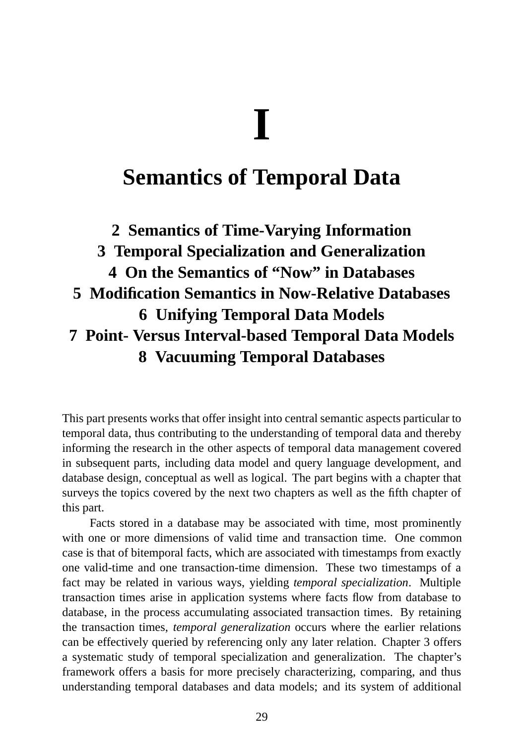## **I**

## **Semantics of Temporal Data**

## **2 Semantics of Time-Varying Information 3 Temporal Specialization and Generalization 4 On the Semantics of "Now" in Databases 5 Modification Semantics in Now-Relative Databases 6 Unifying Temporal Data Models 7 Point- Versus Interval-based Temporal Data Models 8 Vacuuming Temporal Databases**

This part presents works that offer insight into central semantic aspects particular to temporal data, thus contributing to the understanding of temporal data and thereby informing the research in the other aspects of temporal data management covered in subsequent parts, including data model and query language development, and database design, conceptual as well as logical. The part begins with a chapter that surveys the topics covered by the next two chapters as well as the fifth chapter of this part.

Facts stored in a database may be associated with time, most prominently with one or more dimensions of valid time and transaction time. One common case is that of bitemporal facts, which are associated with timestamps from exactly one valid-time and one transaction-time dimension. These two timestamps of a fact may be related in various ways, yielding *temporal specialization*. Multiple transaction times arise in application systems where facts flow from database to database, in the process accumulating associated transaction times. By retaining the transaction times, *temporal generalization* occurs where the earlier relations can be effectively queried by referencing only any later relation. Chapter 3 offers a systematic study of temporal specialization and generalization. The chapter's framework offers a basis for more precisely characterizing, comparing, and thus understanding temporal databases and data models; and its system of additional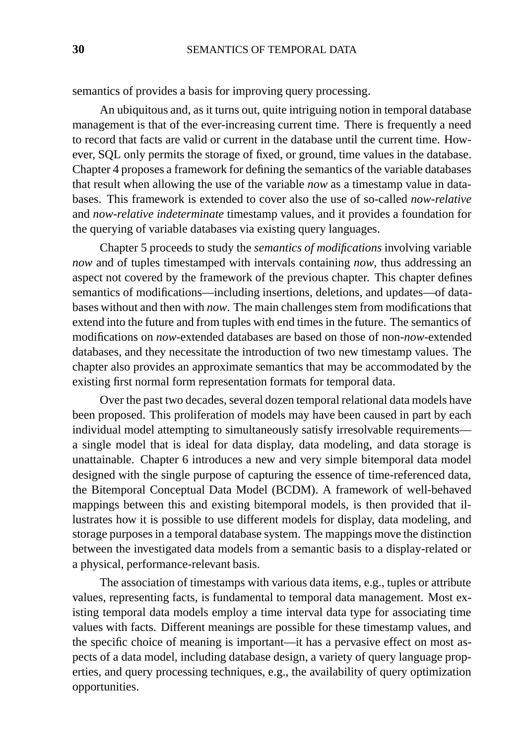semantics of provides a basis for improving query processing.

An ubiquitous and, as it turns out, quite intriguing notion in temporal database management is that of the ever-increasing current time. There is frequently a need to record that facts are valid or current in the database until the current time. However, SQL only permits the storage of fixed, or ground, time values in the database. Chapter 4 proposes a framework for defining the semantics of the variable databases that result when allowing the use of the variable *now* as a timestamp value in databases. This framework is extended to cover also the use of so-called *now-relative* and *now-relative indeterminate* timestamp values, and it provides a foundation for the querying of variable databases via existing query languages.

Chapter 5 proceeds to study the *semantics of modifications* involving variable *now* and of tuples timestamped with intervals containing *now*, thus addressing an aspect not covered by the framework of the previous chapter. This chapter defines semantics of modifications—including insertions, deletions, and updates—of databases without and then with *now*. The main challenges stem from modifications that extend into the future and from tuples with end times in the future. The semantics of modifications on *now*-extended databases are based on those of non-*now*-extended databases, and they necessitate the introduction of two new timestamp values. The chapter also provides an approximate semantics that may be accommodated by the existing first normal form representation formats for temporal data.

Over the past two decades, several dozen temporal relational data models have been proposed. This proliferation of models may have been caused in part by each individual model attempting to simultaneously satisfy irresolvable requirements a single model that is ideal for data display, data modeling, and data storage is unattainable. Chapter 6 introduces a new and very simple bitemporal data model designed with the single purpose of capturing the essence of time-referenced data, the Bitemporal Conceptual Data Model (BCDM). A framework of well-behaved mappings between this and existing bitemporal models, is then provided that illustrates how it is possible to use different models for display, data modeling, and storage purposes in a temporal database system. The mappings move the distinction between the investigated data models from a semantic basis to a display-related or a physical, performance-relevant basis.

The association of timestamps with various data items, e.g., tuples or attribute values, representing facts, is fundamental to temporal data management. Most existing temporal data models employ a time interval data type for associating time values with facts. Different meanings are possible for these timestamp values, and the specific choice of meaning is important—it has a pervasive effect on most aspects of a data model, including database design, a variety of query language properties, and query processing techniques, e.g., the availability of query optimization opportunities.